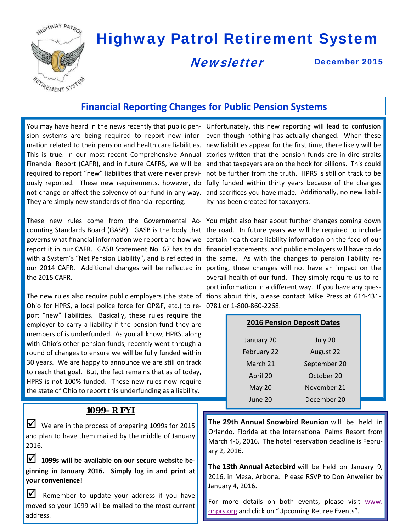

# Highway Patrol Retirement System

# **Newsletter**

December 2015

# **Financial Reporting Changes for Public Pension Systems**

You may have heard in the news recently that public pen‐ sion systems are being required to report new infor‐ mation related to their pension and health care liabilities. This is true. In our most recent Comprehensive Annual Financial Report (CAFR), and in future CAFRS, we will be required to report "new" liabilities that were never previously reported. These new requirements, however, do not change or affect the solvency of our fund in any way. They are simply new standards of financial reporting.

These new rules come from the Governmental Ac‐ counting Standards Board (GASB). GASB is the body that governs what financial information we report and how we report it in our CAFR. GASB Statement No. 67 has to do with a System's "Net Pension Liability", and is reflected in our 2014 CAFR. Additional changes will be reflected in the 2015 CAFR.

The new rules also require public employers (the state of Ohio for HPRS, a local police force for OP&F, etc.) to re‐ port "new" liabilities. Basically, these rules require the employer to carry a liability if the pension fund they are members of is underfunded. As you all know, HPRS, along with Ohio's other pension funds, recently went through a round of changes to ensure we will be fully funded within 30 years. We are happy to announce we are still on track to reach that goal. But, the fact remains that as of today, HPRS is not 100% funded. These new rules now require the state of Ohio to report this underfunding as a liability.

#### **1099–R FYI**

 $\blacksquare$  We are in the process of preparing 1099s for 2015 and plan to have them mailed by the middle of January 2016.

 **1099s will be available on our secure website be‐ ginning in January 2016. Simply log in and print at your convenience!**

 $\triangleright$  Remember to update your address if you have moved so your 1099 will be mailed to the most current address.

Unfortunately, this new reporting will lead to confusion even though nothing has actually changed. When these new liabilities appear for the first time, there likely will be stories written that the pension funds are in dire straits and that taxpayers are on the hook for billions. This could not be further from the truth. HPRS is still on track to be fully funded within thirty years because of the changes and sacrifices you have made. Additionally, no new liability has been created for taxpayers.

You might also hear about further changes coming down the road. In future years we will be required to include certain health care liability information on the face of our financial statements, and public employers will have to do the same. As with the changes to pension liability reporting, these changes will not have an impact on the overall health of our fund. They simply require us to re‐ port information in a different way. If you have any questions about this, please contact Mike Press at 614-431-0781 or 1‐800‐860‐2268.

| <b>2016 Pension Deposit Dates</b> |              |  |
|-----------------------------------|--------------|--|
| January 20                        | July 20      |  |
| February 22                       | August 22    |  |
| March 21                          | September 20 |  |
| April 20                          | October 20   |  |
| <b>May 20</b>                     | November 21  |  |
| June 20                           | December 20  |  |

**The 29th Annual Snowbird Reunion** will be held in Orlando, Florida at the International Palms Resort from March 4-6, 2016. The hotel reservation deadline is February 2, 2016.

**The 13th Annual Aztecbird** will be held on January 9, 2016, in Mesa, Arizona. Please RSVP to Don Anweiler by January 4, 2016.

For more details on both events, please visit www. ohprs.org and click on "Upcoming Retiree Events".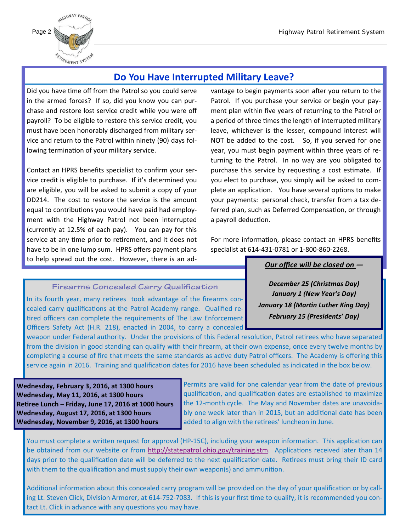

## **Do You Have Interrupted Military Leave?**

Did you have time off from the Patrol so you could serve in the armed forces? If so, did you know you can pur‐ chase and restore lost service credit while you were off payroll? To be eligible to restore this service credit, you must have been honorably discharged from military ser‐ vice and return to the Patrol within ninety (90) days fol‐ lowing termination of your military service.

**Board News Contributions you would have paid had employ-**Contact an HPRS benefits specialist to confirm your ser‐ vice credit is eligible to purchase. If it's determined you are eligible, you will be asked to submit a copy of your DD214. The cost to restore the service is the amount ment with the Highway Patrol not been interrupted (currently at 12.5% of each pay). You can pay for this service at any time prior to retirement, and it does not have to be in one lump sum. HPRS offers payment plans to help spread out the cost. However, there is an ad‐

vantage to begin payments soon after you return to the Patrol. If you purchase your service or begin your pay‐ ment plan within five years of returning to the Patrol or a period of three times the length of interrupted military leave, whichever is the lesser, compound interest will NOT be added to the cost. So, if you served for one year, you must begin payment within three years of re‐ turning to the Patrol. In no way are you obligated to purchase this service by requesting a cost estimate. If you elect to purchase, you simply will be asked to com‐ plete an application. You have several options to make your payments: personal check, transfer from a tax de‐ ferred plan, such as Deferred Compensation, or through a payroll deduction.

For more information, please contact an HPRS benefits specialist at 614‐431‐0781 or 1‐800‐860‐2268.

*Our office will be closed on —*

*February 15 (Presidents' Day)*

*December 25 (Christmas Day) January 1 (New Year's Day) January 18 (MarƟn Luther King Day)*

#### **Firearms Concealed Carry Qualification**

In its fourth year, many retirees took advantage of the firearms concealed carry qualifications at the Patrol Academy range. Qualified retired officers can complete the requirements of The Law Enforcement Officers Safety Act (H.R. 218), enacted in 2004, to carry a concealed

weapon under Federal authority. Under the provisions of this Federal resolution, Patrol retirees who have separated from the division in good standing can qualify with their firearm, at their own expense, once every twelve months by completing a course of fire that meets the same standards as active duty Patrol officers. The Academy is offering this service again in 2016. Training and qualification dates for 2016 have been scheduled as indicated in the box below.

**Wednesday, February 3, 2016, at 1300 hours Wednesday, May 11, 2016, at 1300 hours ReƟree Lunch – Friday, June 17, 2016 at 1000 hours Wednesday, August 17, 2016, at 1300 hours Wednesday, November 9, 2016, at 1300 hours** 

Permits are valid for one calendar year from the date of previous qualification, and qualification dates are established to maximize the 12‐month cycle. The May and November dates are unavoida‐ bly one week later than in 2015, but an additional date has been added to align with the retirees' luncheon in June.

You must complete a written request for approval (HP-15C), including your weapon information. This application can be obtained from our website or from http://statepatrol.ohio.gov/training.stm. Applications received later than 14 days prior to the qualification date will be deferred to the next qualification date. Retirees must bring their ID card with them to the qualification and must supply their own weapon(s) and ammunition.

Additional information about this concealed carry program will be provided on the day of your qualification or by calling Lt. Steven Click, Division Armorer, at 614-752-7083. If this is your first time to qualify, it is recommended you contact Lt. Click in advance with any questions you may have.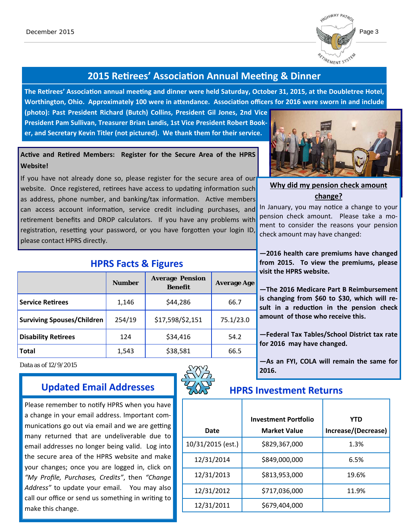

### **2015 ReƟrees' AssociaƟon Annual MeeƟng & Dinner**

**The ReƟrees' AssociaƟon annual meeƟng and dinner were held Saturday, October 31, 2015, at the Doubletree Hotel, Worthington, Ohio. Approximately 100 were in aƩendance. AssociaƟon officers for 2016 were sworn in and include** 

**(photo): Past President Richard (Butch) Collins, President Gil Jones, 2nd Vice President Pam Sullivan, Treasurer Brian Landis, 1st Vice President Robert Book‐ er, and Secretary Kevin Titler (not pictured). We thank them for their service.** 

#### **AcƟve and ReƟred Members: Register for the Secure Area of the HPRS Website!**

If you have not already done so, please register for the secure area of our website. Once registered, retirees have access to updating information such as address, phone number, and banking/tax information. Active members can access account information, service credit including purchases, and retirement benefits and DROP calculators. If you have any problems with registration, resetting your password, or you have forgotten your login ID, please contact HPRS directly.



#### **Why did my pension check amount change?**

In January, you may notice a change to your pension check amount. Please take a moment to consider the reasons your pension check amount may have changed:

**—2016 health care premiums have changed from 2015. To view the premiums, please visit the HPRS website.** 

**—The 2016 Medicare Part B Reimbursement is changing from \$60 to \$30, which will re‐ sult in a reducƟon in the pension check amount of those who receive this.** 

**—Federal Tax Tables/School District tax rate for 2016 may have changed.** 

**—As an FYI, COLA will remain the same for 2016.** 

|                   | <b>Investment Portfolio</b> | <b>YTD</b>          |
|-------------------|-----------------------------|---------------------|
| Date              | <b>Market Value</b>         | Increase/(Decrease) |
| 10/31/2015 (est.) | \$829,367,000               | 1.3%                |
| 12/31/2014        | \$849,000,000               | 6.5%                |
| 12/31/2013        | \$813,953,000               | 19.6%               |
| 12/31/2012        | \$717,036,000               | 11.9%               |
| 12/31/2011        | \$679,404,000               |                     |

#### **HPRS Facts & Figures**

|                                   | <b>Number</b> | <b>Average Pension</b><br><b>Benefit</b> | <b>Average Age</b> |
|-----------------------------------|---------------|------------------------------------------|--------------------|
| <b>Service Retirees</b>           | 1,146         | \$44,286                                 | 66.7               |
| <b>Surviving Spouses/Children</b> | 254/19        | \$17,598/\$2,151                         | 75.1/23.0          |
| <b>Disability Retirees</b>        | 124           | \$34,416                                 | 54.2               |
| <b>Total</b>                      | 1,543         | \$38,581                                 | 66.5               |

Data as of 12/9/2015

# Updated Email Addresses **Hers** HPRS Investment Returns

Please remember to notify HPRS when you have a change in your email address. Important com‐ munications go out via email and we are getting many returned that are undeliverable due to email addresses no longer being valid. Log into the secure area of the HPRS website and make your changes; once you are logged in, click on *"My Profile, Purchases, Credits"*, then *"Change* Address" to update your email. You may also call our office or send us something in writing to make this change.